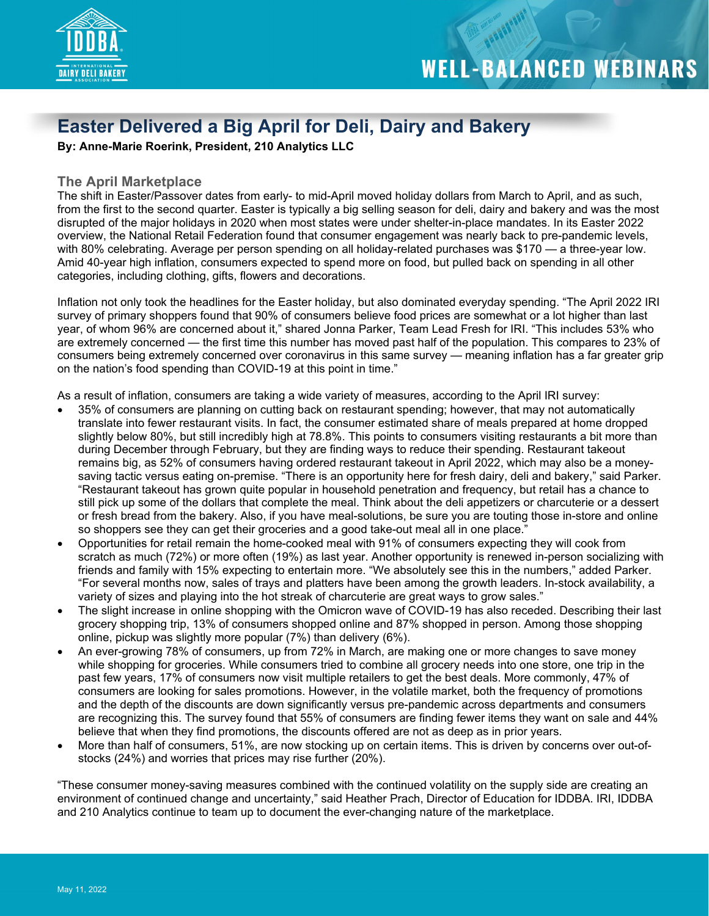

**TOOL MATHEMATICS** 

#### **Easter Delivered a Big April for Deli, Dairy and Bakery**

**By: Anne-Marie Roerink, President, 210 Analytics LLC**

#### **The April Marketplace**

The shift in Easter/Passover dates from early- to mid-April moved holiday dollars from March to April, and as such, from the first to the second quarter. Easter is typically a big selling season for deli, dairy and bakery and was the most disrupted of the major holidays in 2020 when most states were under shelter-in-place mandates. In its Easter 2022 overview, the National Retail Federation found that consumer engagement was nearly back to pre-pandemic levels, with 80% celebrating. Average per person spending on all holiday-related purchases was \$170 — a three-year low. Amid 40-year high inflation, consumers expected to spend more on food, but pulled back on spending in all other categories, including clothing, gifts, flowers and decorations.

Inflation not only took the headlines for the Easter holiday, but also dominated everyday spending. "The April 2022 IRI survey of primary shoppers found that 90% of consumers believe food prices are somewhat or a lot higher than last year, of whom 96% are concerned about it," shared Jonna Parker, Team Lead Fresh for IRI. "This includes 53% who are extremely concerned — the first time this number has moved past half of the population. This compares to 23% of consumers being extremely concerned over coronavirus in this same survey — meaning inflation has a far greater grip on the nation's food spending than COVID-19 at this point in time."

As a result of inflation, consumers are taking a wide variety of measures, according to the April IRI survey:

- 35% of consumers are planning on cutting back on restaurant spending; however, that may not automatically translate into fewer restaurant visits. In fact, the consumer estimated share of meals prepared at home dropped slightly below 80%, but still incredibly high at 78.8%. This points to consumers visiting restaurants a bit more than during December through February, but they are finding ways to reduce their spending. Restaurant takeout remains big, as 52% of consumers having ordered restaurant takeout in April 2022, which may also be a moneysaving tactic versus eating on-premise. "There is an opportunity here for fresh dairy, deli and bakery," said Parker. "Restaurant takeout has grown quite popular in household penetration and frequency, but retail has a chance to still pick up some of the dollars that complete the meal. Think about the deli appetizers or charcuterie or a dessert or fresh bread from the bakery. Also, if you have meal-solutions, be sure you are touting those in-store and online so shoppers see they can get their groceries and a good take-out meal all in one place."
- Opportunities for retail remain the home-cooked meal with 91% of consumers expecting they will cook from scratch as much (72%) or more often (19%) as last year. Another opportunity is renewed in-person socializing with friends and family with 15% expecting to entertain more. "We absolutely see this in the numbers," added Parker. "For several months now, sales of trays and platters have been among the growth leaders. In-stock availability, a variety of sizes and playing into the hot streak of charcuterie are great ways to grow sales."
- The slight increase in online shopping with the Omicron wave of COVID-19 has also receded. Describing their last grocery shopping trip, 13% of consumers shopped online and 87% shopped in person. Among those shopping online, pickup was slightly more popular (7%) than delivery (6%).
- An ever-growing 78% of consumers, up from 72% in March, are making one or more changes to save money while shopping for groceries. While consumers tried to combine all grocery needs into one store, one trip in the past few years, 17% of consumers now visit multiple retailers to get the best deals. More commonly, 47% of consumers are looking for sales promotions. However, in the volatile market, both the frequency of promotions and the depth of the discounts are down significantly versus pre-pandemic across departments and consumers are recognizing this. The survey found that 55% of consumers are finding fewer items they want on sale and 44% believe that when they find promotions, the discounts offered are not as deep as in prior years.
- More than half of consumers, 51%, are now stocking up on certain items. This is driven by concerns over out-ofstocks (24%) and worries that prices may rise further (20%).

"These consumer money-saving measures combined with the continued volatility on the supply side are creating an environment of continued change and uncertainty," said Heather Prach, Director of Education for IDDBA. IRI, IDDBA and 210 Analytics continue to team up to document the ever-changing nature of the marketplace.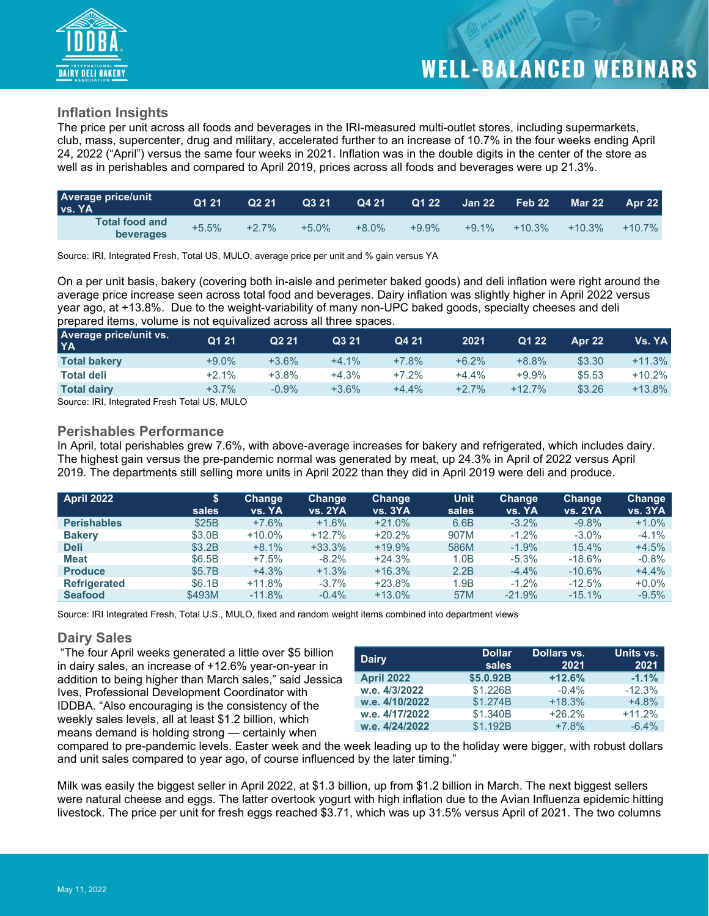

#### **Inflation Insights**

The price per unit across all foods and beverages in the IRI-measured multi-outlet stores, including supermarkets, club, mass, supercenter, drug and military, accelerated further to an increase of 10.7% in the four weeks ending April 24, 2022 ("April") versus the same four weeks in 2021. Inflation was in the double digits in the center of the store as well as in perishables and compared to April 2019, prices across all foods and beverages were up 21.3%.

| <b>Average price/unit</b><br><b>VS. YA</b> | Q1 21   | Q221    | Q3 21   | Q4 21    | Q1 22   | $\sqrt{3}$ Jan 22 | Feb 22   | <b>Mar 22</b> | <b>Apr 22</b> |
|--------------------------------------------|---------|---------|---------|----------|---------|-------------------|----------|---------------|---------------|
| <b>Total food and</b><br>beverages         | $+5.5%$ | $+2.7%$ | $+5.0%$ | $+8.0\%$ | $+9.9%$ | $+9.1%$           | $+10.3%$ | $+10.3%$      | $+10.7\%$     |

Source: IRI, Integrated Fresh, Total US, MULO, average price per unit and % gain versus YA

On a per unit basis, bakery (covering both in-aisle and perimeter baked goods) and deli inflation were right around the average price increase seen across total food and beverages. Dairy inflation was slightly higher in April 2022 versus year ago, at +13.8%. Due to the weight-variability of many non-UPC baked goods, specialty cheeses and deli prepared items, volume is not equivalized across all three spaces.

| Average price/unit vs.<br><b>YA</b> | Q1 21    | Q <sub>2</sub> 21 | Q3 21   | Q4 21   | 2021    | Q1 22    | Apr 22 | Vs. YA   |
|-------------------------------------|----------|-------------------|---------|---------|---------|----------|--------|----------|
| <b>Total bakery</b>                 | $+9.0\%$ | $+3.6%$           | $+4.1%$ | $+7.8%$ | $+6.2%$ | $+8.8%$  | \$3.30 | $+11.3%$ |
| <b>Total deli</b>                   | $+2.1%$  | $+3.8%$           | $+4.3%$ | $+7.2%$ | $+4.4%$ | $+9.9%$  | \$5.53 | $+10.2%$ |
| <b>Total dairy</b>                  | $+3.7%$  | $-0.9%$           | $+3.6%$ | $+4.4%$ | $+2.7%$ | $+12.7%$ | \$3.26 | $+13.8%$ |
|                                     |          |                   |         |         |         |          |        |          |

Source: IRI, Integrated Fresh Total US, MULO

#### **Perishables Performance**

In April, total perishables grew 7.6%, with above-average increases for bakery and refrigerated, which includes dairy. The highest gain versus the pre-pandemic normal was generated by meat, up 24.3% in April of 2022 versus April 2019. The departments still selling more units in April 2022 than they did in April 2019 were deli and produce.

| <b>April 2022</b>   | \$<br>sales | Change<br><b>vs. YA</b> | <b>Change</b><br>vs. 2YA | <b>Change</b><br>vs. 3YA | <b>Unit</b><br>sales | Change<br>vs. YA | <b>Change</b><br><b>vs. 2YA</b> | Change<br>vs. 3YA |
|---------------------|-------------|-------------------------|--------------------------|--------------------------|----------------------|------------------|---------------------------------|-------------------|
| <b>Perishables</b>  | \$25B       | $+7.6%$                 | $+1.6%$                  | $+21.0%$                 | 6.6B                 | $-3.2\%$         | $-9.8%$                         | $+1.0%$           |
| <b>Bakery</b>       | \$3.0B      | $+10.0\%$               | $+12.7%$                 | $+20.2%$                 | 907M                 | $-1.2%$          | $-3.0\%$                        | $-4.1%$           |
| <b>Deli</b>         | \$3.2B      | $+8.1%$                 | $+33.3%$                 | $+19.9%$                 | 586M                 | $-1.9%$          | 15.4%                           | $+4.5%$           |
| <b>Meat</b>         | \$6.5B      | $+7.5%$                 | $-8.2%$                  | $+24.3%$                 | 1.0B                 | $-5.3%$          | $-18.6%$                        | $-0.8%$           |
| <b>Produce</b>      | \$5.7B      | $+4.3%$                 | $+1.3%$                  | $+16.3%$                 | 2.2B                 | $-4.4%$          | $-10.6%$                        | $+4.4%$           |
| <b>Refrigerated</b> | \$6.1B      | $+11.8%$                | $-3.7%$                  | $+23.8%$                 | 1.9B                 | $-1.2%$          | $-12.5%$                        | $+0.0%$           |
| <b>Seafood</b>      | \$493M      | $-11.8%$                | $-0.4%$                  | $+13.0%$                 | 57M                  | $-21.9%$         | $-15.1%$                        | $-9.5%$           |

Source: IRI Integrated Fresh, Total U.S., MULO, fixed and random weight items combined into department views

#### **Dairy Sales**

"The four April weeks generated a little over \$5 billion in dairy sales, an increase of +12.6% year-on-year in addition to being higher than March sales," said Jessica Ives, Professional Development Coordinator with IDDBA. "Also encouraging is the consistency of the weekly sales levels, all at least \$1.2 billion, which means demand is holding strong — certainly when

| <b>Dairy</b>      | <b>Dollar</b><br>sales | Dollars vs.<br>2021 | Units vs.<br>2021 |
|-------------------|------------------------|---------------------|-------------------|
| <b>April 2022</b> | \$5.0.92B              | $+12.6%$            | $-1.1%$           |
| w.e. 4/3/2022     | \$1.226B               | $-0.4%$             | $-12.3%$          |
| w.e. 4/10/2022    | \$1.274B               | $+18.3%$            | $+4.8%$           |
| w.e. 4/17/2022    | \$1.340B               | $+26.2%$            | $+11.2%$          |
| w.e. 4/24/2022    | \$1.192B               | $+7.8%$             | $-6.4%$           |

compared to pre-pandemic levels. Easter week and the week leading up to the holiday were bigger, with robust dollars and unit sales compared to year ago, of course influenced by the later timing."

Milk was easily the biggest seller in April 2022, at \$1.3 billion, up from \$1.2 billion in March. The next biggest sellers were natural cheese and eggs. The latter overtook yogurt with high inflation due to the Avian Influenza epidemic hitting livestock. The price per unit for fresh eggs reached \$3.71, which was up 31.5% versus April of 2021. The two columns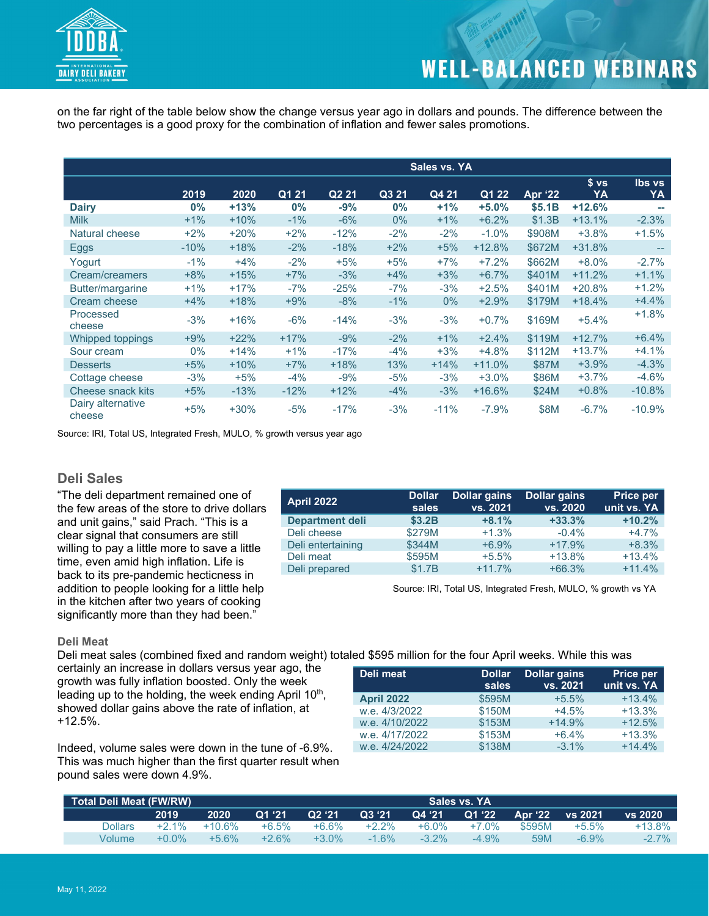

on the far right of the table below show the change versus year ago in dollars and pounds. The difference between the two percentages is a good proxy for the combination of inflation and fewer sales promotions.

|                             |        |        |        |                   |        | Sales vs. YA |          |                |                       |                     |
|-----------------------------|--------|--------|--------|-------------------|--------|--------------|----------|----------------|-----------------------|---------------------|
|                             | 2019   | 2020   | Q1 21  | Q <sub>2</sub> 21 | Q3 21  | Q4 21        | Q1 22    | <b>Apr '22</b> | s <sub>vs</sub><br>YA | <b>Ibs vs</b><br>YA |
| <b>Dairy</b>                | $0\%$  | $+13%$ | $0\%$  | -9%               | $0\%$  | $+1%$        | $+5.0%$  | \$5.1B         | $+12.6%$              |                     |
| <b>Milk</b>                 | $+1\%$ | $+10%$ | $-1\%$ | $-6%$             | $0\%$  | $+1\%$       | $+6.2%$  | \$1.3B         | $+13.1%$              | $-2.3%$             |
| Natural cheese              | $+2\%$ | $+20%$ | $+2\%$ | $-12%$            | $-2%$  | $-2%$        | $-1.0%$  | \$908M         | $+3.8%$               | $+1.5%$             |
| Eggs                        | $-10%$ | $+18%$ | $-2%$  | $-18%$            | $+2%$  | $+5%$        | $+12.8%$ | \$672M         | $+31.8%$              | $-$                 |
| Yogurt                      | $-1\%$ | $+4%$  | $-2%$  | $+5%$             | $+5%$  | $+7%$        | $+7.2%$  | \$662M         | $+8.0%$               | $-2.7%$             |
| Cream/creamers              | $+8%$  | $+15%$ | $+7%$  | $-3%$             | $+4%$  | $+3%$        | $+6.7%$  | \$401M         | $+11.2%$              | $+1.1%$             |
| Butter/margarine            | $+1\%$ | $+17%$ | -7%    | $-25%$            | $-7%$  | $-3%$        | $+2.5%$  | \$401M         | $+20.8%$              | $+1.2%$             |
| Cream cheese                | $+4%$  | $+18%$ | $+9%$  | $-8%$             | $-1\%$ | $0\%$        | $+2.9%$  | \$179M         | $+18.4%$              | $+4.4%$             |
| Processed<br>cheese         | $-3%$  | $+16%$ | $-6%$  | $-14%$            | $-3%$  | $-3%$        | $+0.7%$  | \$169M         | $+5.4%$               | $+1.8%$             |
| Whipped toppings            | $+9%$  | $+22%$ | $+17%$ | $-9%$             | $-2%$  | $+1\%$       | $+2.4%$  | \$119M         | $+12.7%$              | $+6.4%$             |
| Sour cream                  | $0\%$  | $+14%$ | $+1\%$ | $-17%$            | $-4%$  | $+3%$        | $+4.8%$  | \$112M         | $+13.7%$              | $+4.1%$             |
| <b>Desserts</b>             | $+5%$  | $+10%$ | $+7%$  | $+18%$            | 13%    | $+14%$       | $+11.0%$ | \$87M          | $+3.9%$               | $-4.3%$             |
| Cottage cheese              | $-3%$  | $+5%$  | $-4%$  | $-9%$             | $-5%$  | $-3%$        | $+3.0%$  | \$86M          | $+3.7%$               | $-4.6%$             |
| Cheese snack kits           | $+5%$  | $-13%$ | $-12%$ | $+12%$            | $-4%$  | $-3%$        | $+16.6%$ | \$24M          | $+0.8%$               | $-10.8%$            |
| Dairy alternative<br>cheese | $+5%$  | $+30%$ | $-5%$  | $-17%$            | $-3%$  | $-11%$       | $-7.9%$  | \$8M           | $-6.7%$               | $-10.9%$            |

Source: IRI, Total US, Integrated Fresh, MULO, % growth versus year ago

#### **Deli Sales**

"The deli department remained one of the few areas of the store to drive dollars and unit gains," said Prach. "This is a clear signal that consumers are still willing to pay a little more to save a little time, even amid high inflation. Life is back to its pre-pandemic hecticness in addition to people looking for a little help in the kitchen after two years of cooking significantly more than they had been."

| <b>April 2022</b>      | <b>Dollar</b><br>sales | <b>Dollar gains</b><br>vs. 2021 | <b>Dollar gains</b><br>vs. 2020 | <b>Price per</b><br>unit vs. YA |
|------------------------|------------------------|---------------------------------|---------------------------------|---------------------------------|
| <b>Department deli</b> | \$3.2B                 | $+8.1%$                         | $+33.3%$                        | $+10.2%$                        |
| Deli cheese            | \$279M                 | $+1.3%$                         | $-0.4%$                         | $+4.7%$                         |
| Deli entertaining      | \$344M                 | $+6.9%$                         | $+17.9%$                        | $+8.3%$                         |
| Deli meat              | \$595M                 | $+5.5%$                         | $+13.8%$                        | $+13.4%$                        |
| Deli prepared          | \$1.7B                 | $+11.7%$                        | $+66.3%$                        | $+11.4%$                        |

Source: IRI, Total US, Integrated Fresh, MULO, % growth vs YA

#### **Deli Meat**

Deli meat sales (combined fixed and random weight) totaled \$595 million for the four April weeks. While this was certainly an increase in dollars versus year ago, the

growth was fully inflation boosted. Only the week leading up to the holding, the week ending April 10<sup>th</sup>, showed dollar gains above the rate of inflation, at +12.5%.

Indeed, volume sales were down in the tune of -6.9%. This was much higher than the first quarter result when pound sales were down 4.9%.

| Deli meat         | <b>Dollar</b><br>sales | <b>Dollar gains</b><br>vs. 2021 | <b>Price per</b><br>unit vs. YA |
|-------------------|------------------------|---------------------------------|---------------------------------|
| <b>April 2022</b> | \$595M                 | $+5.5%$                         | $+13.4%$                        |
| w.e. 4/3/2022     | \$150M                 | $+4.5%$                         | $+13.3%$                        |
| w.e. 4/10/2022    | \$153M                 | $+14.9%$                        | $+12.5%$                        |
| w.e. 4/17/2022    | \$153M                 | $+6.4%$                         | $+13.3%$                        |
| w.e. 4/24/2022    | \$138M                 | $-3.1\%$                        | $+14.4%$                        |

| Total Deli Meat (FW/RW) |          |          |         |          |          |          | Sales vs. YA |                |          |          |
|-------------------------|----------|----------|---------|----------|----------|----------|--------------|----------------|----------|----------|
|                         | 2019     | 2020     | Q1'21   | Q2 '21   | Q3 '21   | Q4 '21   | Q1 '22       | Apr <b>'22</b> | vs 2021  | vs. 2020 |
| Dollars                 | $+2.1\%$ | $+10.6%$ | $+6.5%$ | $+6.6\%$ | $+2.2\%$ | +6.0%    | $+7.0%$      | \$595M         | $+5.5%$  | $+13.8%$ |
| Volume                  | $+0.0\%$ | $+5.6%$  | $+2.6%$ | $+3.0\%$ | $1.6\%$  | $-3.2\%$ | $-4.9\%$     | 59M            | $-6.9\%$ | $-2.7\%$ |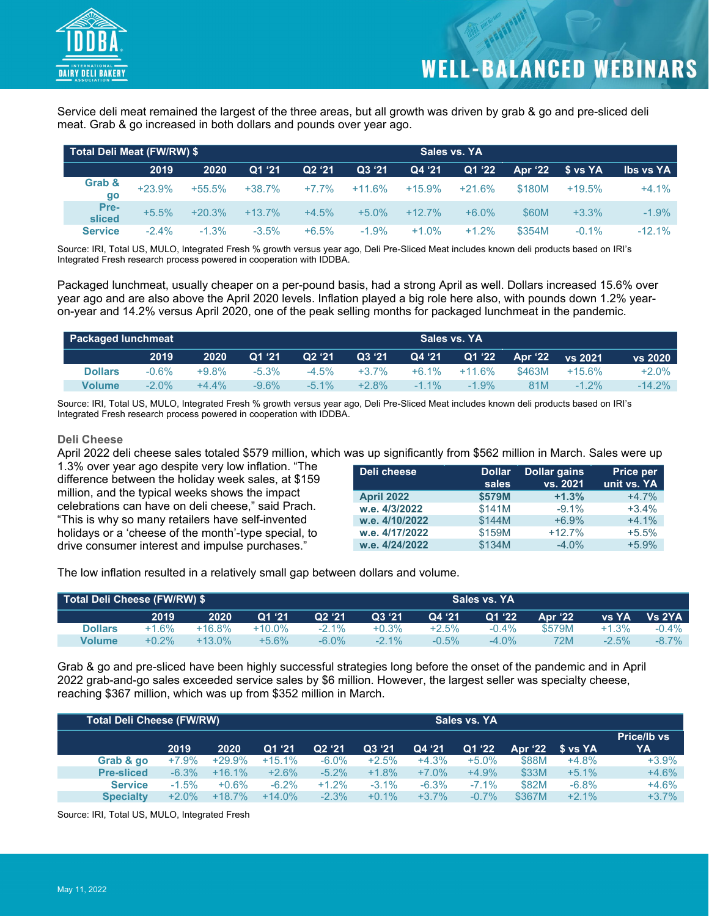

Service deli meat remained the largest of the three areas, but all growth was driven by grab & go and pre-sliced deli meat. Grab & go increased in both dollars and pounds over year ago.

|                | Total Deli Meat (FW/RW) \$ |          |          |                    |          |           |          |         |          |                  |
|----------------|----------------------------|----------|----------|--------------------|----------|-----------|----------|---------|----------|------------------|
|                | 2019                       | 2020     | Q1 '21   | Q <sub>2</sub> '21 | Q3 '21   | Q4 '21    | Q1 '22   | Apr '22 | \$ vs YA | <b>Ibs vs YA</b> |
| Grab &<br>go   | $+23.9%$                   | $+55.5%$ | $+38.7%$ | $+7.7%$            | $+11.6%$ | $+15.9%$  | $+21.6%$ | \$180M  | $+19.5%$ | $+4.1%$          |
| Pre-<br>sliced | $+5.5%$                    | $+20.3%$ | $+13.7%$ | $+4.5%$            | $+5.0%$  | $+12.7\%$ | $+6.0\%$ | \$60M   | $+3.3%$  | $-1.9\%$         |
| <b>Service</b> | $-2.4%$                    | $-1.3%$  | $-3.5%$  | $+6.5%$            | $-1.9%$  | $+1.0%$   | $+1.2%$  | \$354M  | $-0.1%$  | $-12.1%$         |

Source: IRI, Total US, MULO, Integrated Fresh % growth versus year ago, Deli Pre-Sliced Meat includes known deli products based on IRI's Integrated Fresh research process powered in cooperation with IDDBA.

Packaged lunchmeat, usually cheaper on a per-pound basis, had a strong April as well. Dollars increased 15.6% over year ago and are also above the April 2020 levels. Inflation played a big role here also, with pounds down 1.2% yearon-year and 14.2% versus April 2020, one of the peak selling months for packaged lunchmeat in the pandemic.

|                | <b>Packaged lunchmeat</b> |          |          |          |          |          | Sales vs. YA |        |                    |          |
|----------------|---------------------------|----------|----------|----------|----------|----------|--------------|--------|--------------------|----------|
|                | 2019                      | 2020     | Q1 '21   | Q2 '21   | Q3 '21   | Q4 '21   | Q1 '22       |        | Apr $22$ vs $2021$ | vs 2020  |
| <b>Dollars</b> | $-0.6%$                   | $+9.8%$  | $-5.3\%$ | $-4.5\%$ | $+3.7\%$ | $+6.1\%$ | $+11.6\%$    | \$463M | $+15.6\%$          | $+2.0%$  |
| <b>Volume</b>  | $-2.0\%$                  | $+4.4\%$ | -9.6%    | $-5.1\%$ | $+2.8\%$ | $-1.1\%$ | $-1.9\%$     | 81M    | $-1.2\%$           | $-14.2%$ |

Source: IRI, Total US, MULO, Integrated Fresh % growth versus year ago, Deli Pre-Sliced Meat includes known deli products based on IRI's Integrated Fresh research process powered in cooperation with IDDBA.

#### **Deli Cheese**

April 2022 deli cheese sales totaled \$579 million, which was up significantly from \$562 million in March. Sales were up

1.3% over year ago despite very low inflation. "The difference between the holiday week sales, at \$159 million, and the typical weeks shows the impact celebrations can have on deli cheese," said Prach. "This is why so many retailers have self-invented holidays or a 'cheese of the month'-type special, to drive consumer interest and impulse purchases."

| Deli cheese       | <b>Dollar</b><br>sales | <b>Dollar gains</b><br>vs. 2021 | <b>Price per</b><br>unit vs. YA |
|-------------------|------------------------|---------------------------------|---------------------------------|
| <b>April 2022</b> | \$579M                 | $+1.3%$                         | $+4.7%$                         |
| w.e. 4/3/2022     | \$141M                 | $-9.1\%$                        | $+3.4%$                         |
| w.e. 4/10/2022    | \$144M                 | $+6.9%$                         | $+4.1%$                         |
| w.e. 4/17/2022    | \$159M                 | $+12.7%$                        | $+5.5%$                         |
| w.e. 4/24/2022    | \$134M                 | $-4.0%$                         | $+5.9%$                         |

The low inflation resulted in a relatively small gap between dollars and volume.

| Total Deli Cheese (FW/RW) \$ |          |           |           |          |          |         | Sales vs. YA |         |              |               |
|------------------------------|----------|-----------|-----------|----------|----------|---------|--------------|---------|--------------|---------------|
|                              | 2019     | 2020      | Q1'21     | Q2 '21   | Q3 '21   | Q4 '21  | Q1'22        | Apr '22 | <b>vs YA</b> | <b>Vs 2YA</b> |
| <b>Dollars</b>               | $+1.6\%$ | $+16.8\%$ | $+10.0\%$ | $-2.1\%$ | $+0.3\%$ | $+2.5%$ | $-0.4\%$     | \$579M  | $+1.3%$      | $-0.4\%$      |
| <b>Volume</b>                | $+0.2\%$ | $+13.0\%$ | $+5.6%$   | $-6.0\%$ | $-2.1\%$ | $-0.5%$ | $-4.0\%$     | 72M     | $-2.5%$      | $-8.7\%$      |

Grab & go and pre-sliced have been highly successful strategies long before the onset of the pandemic and in April 2022 grab-and-go sales exceeded service sales by \$6 million. However, the largest seller was specialty cheese, reaching \$367 million, which was up from \$352 million in March.

| <b>Total Deli Cheese (FW/RW)</b> |          |          |          |                    |          |         | Sales vs. YA |         |             |                   |
|----------------------------------|----------|----------|----------|--------------------|----------|---------|--------------|---------|-------------|-------------------|
|                                  | 2019     | 2020     | Q1:21    | Q <sub>2</sub> '21 | Q3 '21   | Q4 '21  | Q1 '22       | Apr '22 | $S$ vs $YA$ | Price/Ib vs<br>YA |
| Grab & go                        | $+7.9%$  | $+29.9%$ | $+15.1%$ | $-6.0\%$           | $+2.5%$  | $+4.3%$ | $+5.0%$      | \$88M   | $+4.8%$     | $+3.9%$           |
| <b>Pre-sliced</b>                | $-6.3%$  | $+16.1%$ | $+2.6%$  | $-5.2\%$           | $+1.8%$  | $+7.0%$ | $+4.9%$      | \$33M   | $+5.1%$     | $+4.6%$           |
| <b>Service</b>                   | $-1.5%$  | $+0.6%$  | $-6.2%$  | $+1.2%$            | $-3.1%$  | $-6.3%$ | $-7.1\%$     | \$82M   | $-6.8%$     | $+4.6%$           |
| <b>Specialty</b>                 | $+2.0\%$ | $+18.7%$ | $+14.0%$ | $-2.3%$            | $+0.1\%$ | $+3.7%$ | $-0.7\%$     | \$367M  | $+2.1%$     | $+3.7%$           |

Source: IRI, Total US, MULO, Integrated Fresh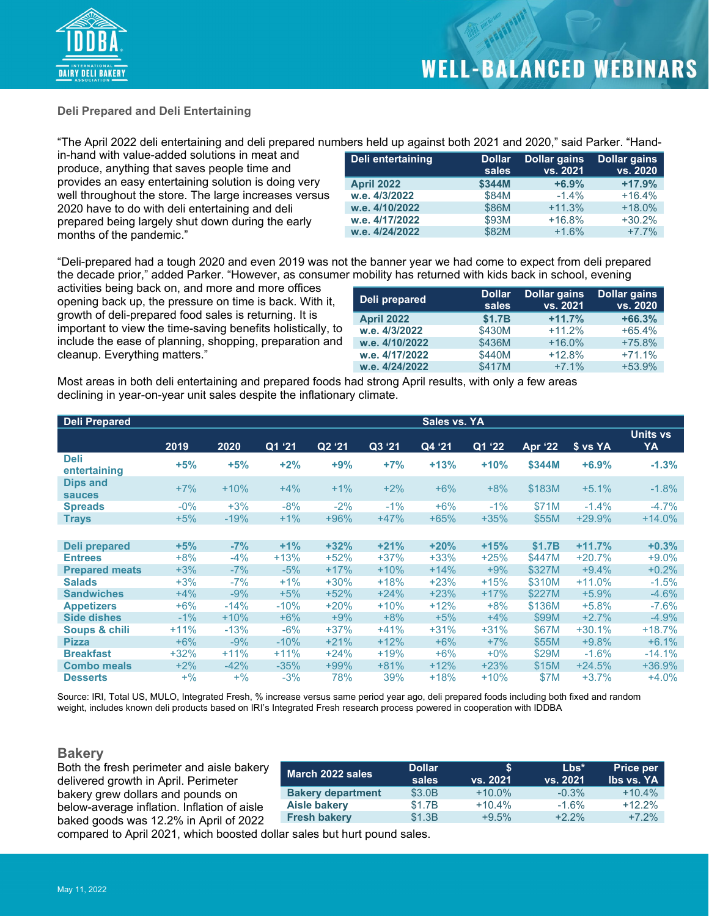

#### **Deli Prepared and Deli Entertaining**

"The April 2022 deli entertaining and deli prepared numbers held up against both 2021 and 2020," said Parker. "Hand-

in-hand with value-added solutions in meat and produce, anything that saves people time and provides an easy entertaining solution is doing very well throughout the store. The large increases versus 2020 have to do with deli entertaining and deli prepared being largely shut down during the early months of the pandemic."

| Deli entertaining | <b>Dollar</b><br>sales | <b>Dollar gains</b><br>vs. 2021 | <b>Dollar gains</b><br>vs. 2020 |
|-------------------|------------------------|---------------------------------|---------------------------------|
| <b>April 2022</b> | \$344M                 | $+6.9%$                         | $+17.9%$                        |
| w.e. 4/3/2022     | \$84M                  | $-1.4\%$                        | $+16.4%$                        |
| w.e. 4/10/2022    | \$86M                  | $+11.3%$                        | $+18.0%$                        |
| w.e. 4/17/2022    | \$93M                  | $+16.8%$                        | $+30.2%$                        |
| w.e. 4/24/2022    | \$82M                  | $+1.6%$                         | $+7.7%$                         |

"Deli-prepared had a tough 2020 and even 2019 was not the banner year we had come to expect from deli prepared the decade prior," added Parker. "However, as consumer mobility has returned with kids back in school, evening

activities being back on, and more and more offices opening back up, the pressure on time is back. With it, growth of deli-prepared food sales is returning. It is important to view the time-saving benefits holistically, to include the ease of planning, shopping, preparation and cleanup. Everything matters."

| Deli prepared     | <b>Dollar</b><br>sales | <b>Dollar gains</b><br>vs. 2021 | <b>Dollar gains</b><br>vs. 2020 |
|-------------------|------------------------|---------------------------------|---------------------------------|
| <b>April 2022</b> | \$1.7B                 | $+11.7%$                        | $+66.3%$                        |
| w.e. 4/3/2022     | \$430M                 | $+11.2%$                        | $+65.4%$                        |
| w.e. 4/10/2022    | \$436M                 | $+16.0%$                        | $+75.8%$                        |
| w.e. 4/17/2022    | \$440M                 | $+12.8%$                        | $+71.1%$                        |
| w.e. 4/24/2022    | \$417M                 | $+7.1%$                         | $+53.9%$                        |

Most areas in both deli entertaining and prepared foods had strong April results, with only a few areas declining in year-on-year unit sales despite the inflationary climate.

| Deli Prepared                    |        |        |        |        |        | Sales vs. YA |        |                |          |                       |
|----------------------------------|--------|--------|--------|--------|--------|--------------|--------|----------------|----------|-----------------------|
|                                  | 2019   | 2020   | Q1 '21 | Q2 '21 | Q3 '21 | Q4 '21       | Q1 '22 | <b>Apr '22</b> | \$ vs YA | <b>Units vs</b><br>YA |
| <b>Deli</b><br>entertaining      | $+5%$  | $+5%$  | $+2%$  | $+9%$  | $+7%$  | $+13%$       | $+10%$ | \$344M         | $+6.9%$  | $-1.3%$               |
| <b>Dips and</b><br><b>sauces</b> | $+7%$  | $+10%$ | $+4%$  | $+1\%$ | $+2%$  | $+6%$        | $+8%$  | \$183M         | $+5.1%$  | $-1.8%$               |
| <b>Spreads</b>                   | $-0\%$ | $+3%$  | $-8%$  | $-2%$  | $-1%$  | $+6%$        | $-1\%$ | \$71M          | $-1.4%$  | $-4.7%$               |
| <b>Trays</b>                     | $+5%$  | $-19%$ | $+1%$  | $+96%$ | $+47%$ | $+65%$       | $+35%$ | \$55M          | $+29.9%$ | $+14.0%$              |
|                                  |        |        |        |        |        |              |        |                |          |                       |
| Deli prepared                    | $+5%$  | $-7%$  | $+1%$  | $+32%$ | $+21%$ | $+20%$       | $+15%$ | \$1.7B         | $+11.7%$ | $+0.3%$               |
| <b>Entrees</b>                   | $+8%$  | $-4%$  | $+13%$ | $+52%$ | $+37%$ | $+33%$       | $+25%$ | \$447M         | $+20.7%$ | $+9.0%$               |
| <b>Prepared meats</b>            | $+3%$  | $-7%$  | $-5%$  | $+17%$ | $+10%$ | $+14%$       | $+9%$  | \$327M         | $+9.4%$  | $+0.2%$               |
| <b>Salads</b>                    | $+3%$  | $-7%$  | $+1\%$ | $+30%$ | $+18%$ | $+23%$       | $+15%$ | \$310M         | $+11.0%$ | $-1.5%$               |
| <b>Sandwiches</b>                | $+4%$  | $-9%$  | $+5%$  | $+52%$ | $+24%$ | $+23%$       | $+17%$ | \$227M         | $+5.9%$  | $-4.6%$               |
| <b>Appetizers</b>                | $+6%$  | $-14%$ | $-10%$ | $+20%$ | $+10%$ | $+12%$       | $+8%$  | \$136M         | $+5.8%$  | $-7.6\%$              |
| <b>Side dishes</b>               | $-1\%$ | $+10%$ | $+6%$  | $+9%$  | $+8%$  | $+5%$        | $+4%$  | \$99M          | $+2.7%$  | $-4.9%$               |
| Soups & chili                    | $+11%$ | $-13%$ | $-6%$  | $+37%$ | $+41%$ | $+31%$       | $+31%$ | \$67M          | $+30.1%$ | $+18.7%$              |
| <b>Pizza</b>                     | $+6%$  | $-9%$  | $-10%$ | $+21%$ | $+12%$ | $+6%$        | $+7%$  | \$55M          | $+9.8%$  | $+6.1%$               |
| <b>Breakfast</b>                 | $+32%$ | $+11%$ | $+11%$ | $+24%$ | $+19%$ | $+6\%$       | $+0\%$ | \$29M          | $-1.6%$  | $-14.1%$              |
| <b>Combo meals</b>               | $+2%$  | $-42%$ | $-35%$ | $+99%$ | $+81%$ | $+12%$       | $+23%$ | \$15M          | $+24.5%$ | $+36.9%$              |
| <b>Desserts</b>                  | $+$ %  | $+$ %  | $-3%$  | 78%    | 39%    | $+18%$       | $+10%$ | \$7M           | $+3.7%$  | $+4.0%$               |

Source: IRI, Total US, MULO, Integrated Fresh, % increase versus same period year ago, deli prepared foods including both fixed and random weight, includes known deli products based on IRI's Integrated Fresh research process powered in cooperation with IDDBA

### **Bakery**<br>Both the

| Both the fresh perimeter and aisle bakery<br>delivered growth in April. Perimeter                              | March 2022 sales         | <b>Dollar</b><br>sales | vs. 2021  | $Lbs*$<br>vs. 2021 | <b>Price per</b><br><b>Ibs vs. YA</b> |
|----------------------------------------------------------------------------------------------------------------|--------------------------|------------------------|-----------|--------------------|---------------------------------------|
| bakery grew dollars and pounds on                                                                              | <b>Bakery department</b> | \$3.0B                 | $+10.0\%$ | $-0.3\%$           | $+10.4%$                              |
| below-average inflation. Inflation of aisle                                                                    | Aisle bakery             | \$1.7B                 | $+10.4%$  | $-1.6%$            | $+12.2%$                              |
| baked goods was 12.2% in April of 2022                                                                         | <b>Fresh bakery</b>      | \$1.3B                 | $+9.5%$   | $+2.2%$            | $+7.2%$                               |
| aspense de Annit OOO de capital de la capital de la capital de la capital de la capital de la capital de la ca |                          |                        |           |                    |                                       |

compared to April 2021, which boosted dollar sales but hurt pound sales.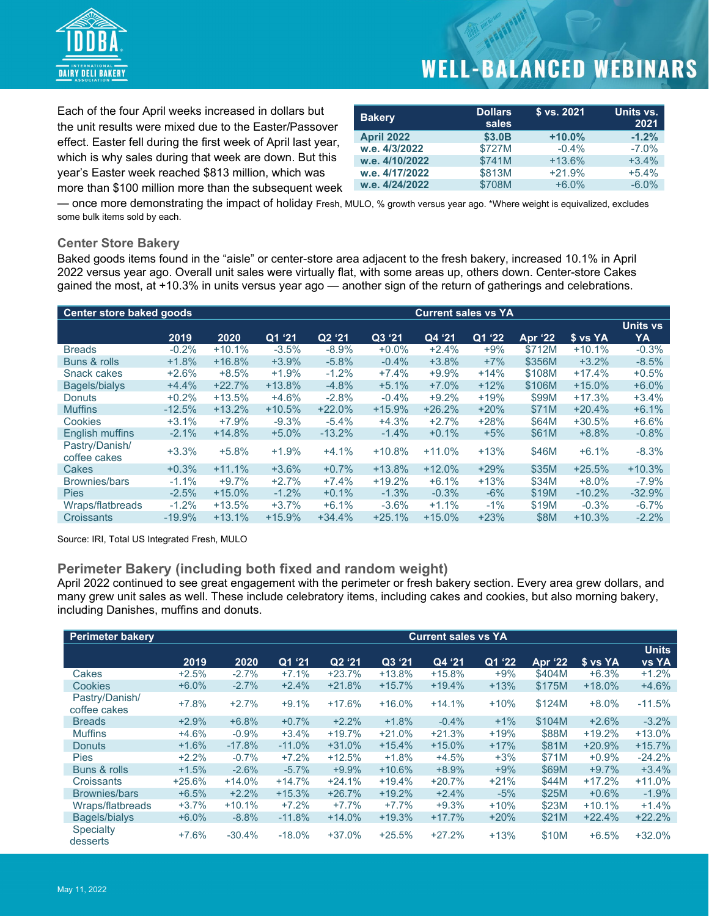

Each of the four April weeks increased in dollars but the unit results were mixed due to the Easter/Passover effect. Easter fell during the first week of April last year, which is why sales during that week are down. But this year's Easter week reached \$813 million, which was more than \$100 million more than the subsequent week

| <b>Bakery</b>     | <b>Dollars</b><br>sales | \$ vs. 2021 | Units vs.<br>2021 |
|-------------------|-------------------------|-------------|-------------------|
| <b>April 2022</b> | \$3.0B                  | $+10.0%$    | $-1.2%$           |
| w.e. 4/3/2022     | \$727M                  | $-0.4%$     | $-7.0\%$          |
| w.e. 4/10/2022    | \$741M                  | $+13.6%$    | $+3.4%$           |
| w.e. 4/17/2022    | \$813M                  | $+21.9%$    | $+5.4%$           |
| w.e. 4/24/2022    | \$708M                  | $+6.0%$     | $-6.0%$           |

— once more demonstrating the impact of holiday Fresh, MULO, % growth versus year ago. \*Where weight is equivalized, excludes some bulk items sold by each.

#### **Center Store Bakery**

Baked goods items found in the "aisle" or center-store area adjacent to the fresh bakery, increased 10.1% in April 2022 versus year ago. Overall unit sales were virtually flat, with some areas up, others down. Center-store Cakes gained the most, at +10.3% in units versus year ago — another sign of the return of gatherings and celebrations.

| <b>Center store baked goods</b> |           |          | <b>Current sales vs YA</b> |                    |          |          |        |             |          |          |
|---------------------------------|-----------|----------|----------------------------|--------------------|----------|----------|--------|-------------|----------|----------|
|                                 |           |          |                            |                    |          |          |        |             |          | Units vs |
|                                 | 2019      | 2020     | Q1'21                      | Q <sub>2</sub> '21 | Q3 '21   | Q4 '21   | Q1 '22 | Apr '22     | \$ vs YA | YA       |
| <b>Breads</b>                   | $-0.2%$   | $+10.1%$ | $-3.5%$                    | $-8.9%$            | $+0.0%$  | $+2.4%$  | $+9%$  | \$712M      | $+10.1%$ | $-0.3%$  |
| Buns & rolls                    | $+1.8%$   | $+16.8%$ | $+3.9%$                    | $-5.8%$            | $-0.4%$  | $+3.8%$  | $+7%$  | \$356M      | $+3.2%$  | $-8.5%$  |
| Snack cakes                     | $+2.6%$   | $+8.5%$  | $+1.9%$                    | $-1.2%$            | $+7.4%$  | $+9.9%$  | $+14%$ | \$108M      | $+17.4%$ | $+0.5%$  |
| Bagels/bialys                   | $+4.4%$   | $+22.7%$ | $+13.8%$                   | $-4.8%$            | $+5.1%$  | $+7.0%$  | $+12%$ | \$106M      | $+15.0%$ | $+6.0%$  |
| Donuts                          | $+0.2%$   | $+13.5%$ | $+4.6%$                    | $-2.8%$            | $-0.4%$  | $+9.2%$  | $+19%$ | \$99M       | $+17.3%$ | $+3.4%$  |
| <b>Muffins</b>                  | $-12.5%$  | $+13.2%$ | $+10.5%$                   | $+22.0%$           | $+15.9%$ | $+26.2%$ | $+20%$ | \$71M       | $+20.4%$ | $+6.1%$  |
| Cookies                         | $+3.1%$   | $+7.9%$  | $-9.3%$                    | $-5.4%$            | $+4.3%$  | $+2.7%$  | $+28%$ | \$64M       | $+30.5%$ | $+6.6%$  |
| <b>English muffins</b>          | $-2.1%$   | $+14.8%$ | $+5.0%$                    | $-13.2%$           | $-1.4%$  | $+0.1%$  | $+5%$  | \$61M       | $+8.8%$  | $-0.8%$  |
| Pastry/Danish/<br>coffee cakes  | $+3.3%$   | $+5.8%$  | $+1.9%$                    | $+4.1%$            | $+10.8%$ | $+11.0%$ | $+13%$ | \$46M       | $+6.1%$  | $-8.3%$  |
| Cakes                           | $+0.3%$   | $+11.1%$ | $+3.6%$                    | $+0.7%$            | $+13.8%$ | $+12.0%$ | $+29%$ | \$35M       | $+25.5%$ | $+10.3%$ |
| <b>Brownies/bars</b>            | $-1.1%$   | $+9.7%$  | $+2.7%$                    | $+7.4%$            | $+19.2%$ | $+6.1%$  | $+13%$ | \$34M       | $+8.0%$  | $-7.9%$  |
| <b>Pies</b>                     | $-2.5%$   | $+15.0%$ | $-1.2%$                    | $+0.1%$            | $-1.3%$  | $-0.3%$  | $-6%$  | \$19M       | $-10.2%$ | $-32.9%$ |
| Wraps/flatbreads                | $-1.2%$   | $+13.5%$ | $+3.7%$                    | $+6.1%$            | $-3.6%$  | $+1.1%$  | $-1%$  | \$19M       | $-0.3%$  | $-6.7%$  |
| <b>Croissants</b>               | $-19.9\%$ | $+13.1%$ | $+15.9%$                   | $+34.4%$           | $+25.1%$ | $+15.0%$ | $+23%$ | <b>\$8M</b> | $+10.3%$ | $-2.2%$  |

Source: IRI, Total US Integrated Fresh, MULO

#### **Perimeter Bakery (including both fixed and random weight)**

April 2022 continued to see great engagement with the perimeter or fresh bakery section. Every area grew dollars, and many grew unit sales as well. These include celebratory items, including cakes and cookies, but also morning bakery, including Danishes, muffins and donuts.

| <b>Perimeter bakery</b>        |          |          |          |          |          | <b>Current sales vs YA</b> |        |                |          |                              |
|--------------------------------|----------|----------|----------|----------|----------|----------------------------|--------|----------------|----------|------------------------------|
|                                | 2019     | 2020     | Q1 '21   | Q2 '21   | Q3 '21   | Q4'21                      | Q1 '22 | <b>Apr '22</b> | \$ vs YA | <b>Units</b><br><b>vs YA</b> |
| Cakes                          | $+2.5%$  | $-2.7%$  | $+7.1%$  | $+23.7%$ | $+13.8%$ | $+15.8%$                   | $+9%$  | \$404M         | $+6.3%$  | $+1.2%$                      |
| Cookies                        | $+6.0%$  | $-2.7%$  | $+2.4%$  | $+21.8%$ | $+15.7%$ | $+19.4%$                   | $+13%$ | \$175M         | $+18.0%$ | $+4.6%$                      |
| Pastry/Danish/<br>coffee cakes | $+7.8%$  | $+2.7%$  | $+9.1%$  | $+17.6%$ | $+16.0%$ | $+14.1%$                   | $+10%$ | \$124M         | $+8.0%$  | $-11.5%$                     |
| <b>Breads</b>                  | $+2.9%$  | $+6.8%$  | $+0.7%$  | $+2.2%$  | $+1.8%$  | $-0.4%$                    | $+1%$  | \$104M         | $+2.6%$  | $-3.2%$                      |
| <b>Muffins</b>                 | $+4.6%$  | $-0.9%$  | $+3.4%$  | $+19.7%$ | $+21.0%$ | $+21.3%$                   | $+19%$ | \$88M          | $+19.2%$ | $+13.0%$                     |
| <b>Donuts</b>                  | $+1.6%$  | $-17.8%$ | $-11.0%$ | $+31.0%$ | $+15.4%$ | $+15.0%$                   | $+17%$ | \$81M          | $+20.9%$ | $+15.7%$                     |
| <b>Pies</b>                    | $+2.2%$  | $-0.7%$  | $+7.2%$  | $+12.5%$ | $+1.8%$  | $+4.5%$                    | $+3%$  | \$71M          | $+0.9%$  | $-24.2%$                     |
| Buns & rolls                   | $+1.5%$  | $-2.6%$  | $-5.7\%$ | $+9.9%$  | $+10.6%$ | $+8.9%$                    | $+9%$  | \$69M          | $+9.7%$  | $+3.4%$                      |
| Croissants                     | $+25.6%$ | $+14.0%$ | $+14.7%$ | $+24.1%$ | $+19.4%$ | $+20.7%$                   | $+21%$ | \$44M          | $+17.2%$ | $+11.0%$                     |
| Brownies/bars                  | $+6.5%$  | $+2.2%$  | $+15.3%$ | $+26.7%$ | $+19.2%$ | $+2.4%$                    | $-5%$  | \$25M          | $+0.6%$  | $-1.9%$                      |
| Wraps/flatbreads               | $+3.7%$  | $+10.1%$ | $+7.2%$  | $+7.7%$  | $+7.7%$  | $+9.3%$                    | $+10%$ | \$23M          | $+10.1%$ | $+1.4%$                      |
| <b>Bagels/bialys</b>           | $+6.0%$  | $-8.8%$  | $-11.8%$ | $+14.0%$ | $+19.3%$ | $+17.7%$                   | $+20%$ | \$21M          | $+22.4%$ | $+22.2%$                     |
| <b>Specialty</b><br>desserts   | $+7.6%$  | $-30.4%$ | $-18.0%$ | $+37.0%$ | $+25.5%$ | $+27.2%$                   | $+13%$ | \$10M          | $+6.5%$  | $+32.0%$                     |